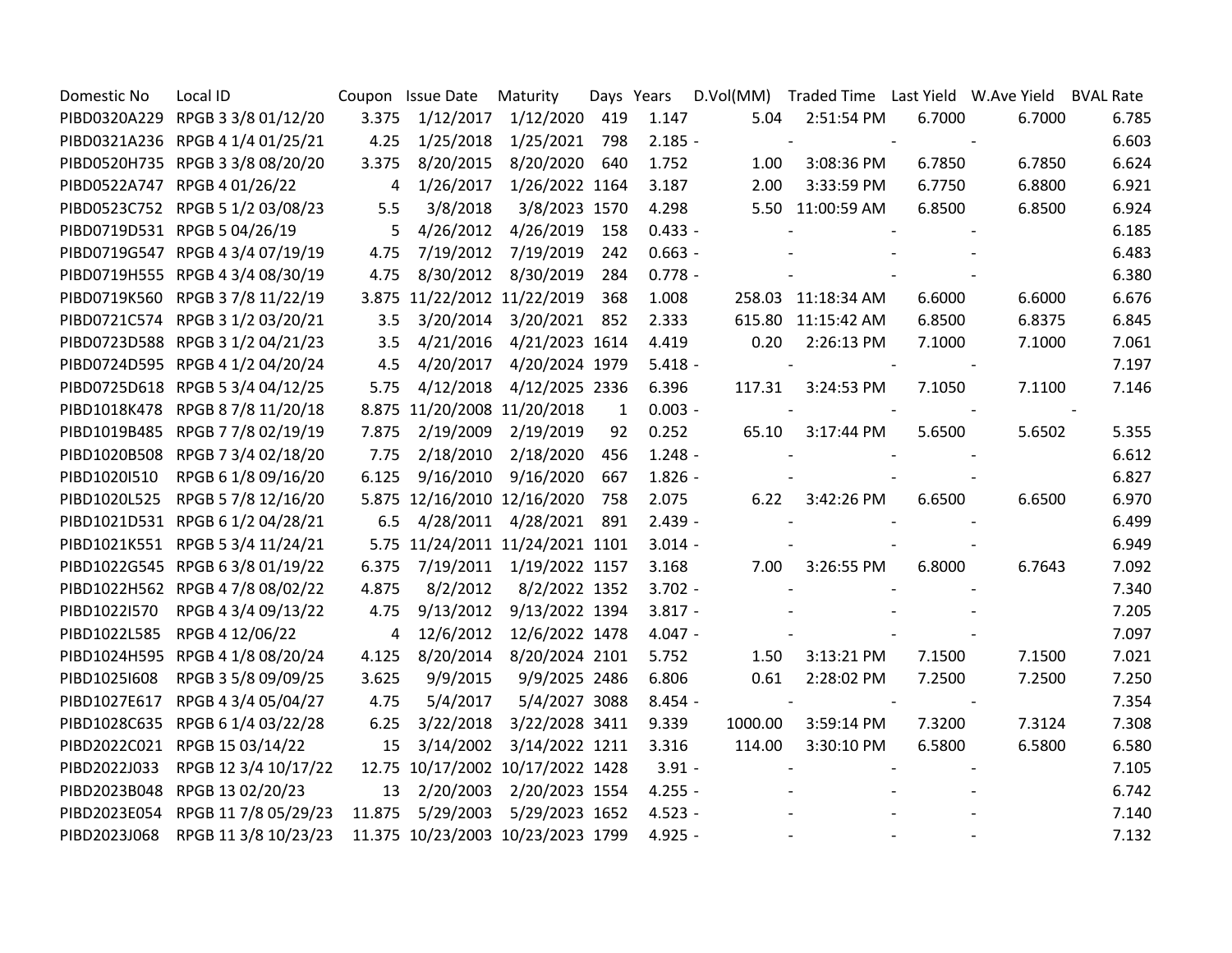| Domestic No  | Local ID                         |                | Coupon Issue Date | Maturity                          |              | Days Years | D.Vol(MM) | Traded Time    Last Yield    W.Ave Yield |        |        | <b>BVAL Rate</b> |
|--------------|----------------------------------|----------------|-------------------|-----------------------------------|--------------|------------|-----------|------------------------------------------|--------|--------|------------------|
|              | PIBD0320A229 RPGB 3 3/8 01/12/20 | 3.375          | 1/12/2017         | 1/12/2020                         | 419          | 1.147      | 5.04      | 2:51:54 PM                               | 6.7000 | 6.7000 | 6.785            |
|              | PIBD0321A236 RPGB 4 1/4 01/25/21 | 4.25           | 1/25/2018         | 1/25/2021                         | 798          | $2.185 -$  |           | $\overline{\phantom{0}}$                 |        |        | 6.603            |
|              | PIBD0520H735 RPGB 3 3/8 08/20/20 | 3.375          | 8/20/2015         | 8/20/2020                         | 640          | 1.752      | 1.00      | 3:08:36 PM                               | 6.7850 | 6.7850 | 6.624            |
|              | PIBD0522A747 RPGB 4 01/26/22     | 4              | 1/26/2017         | 1/26/2022 1164                    |              | 3.187      | 2.00      | 3:33:59 PM                               | 6.7750 | 6.8800 | 6.921            |
|              | PIBD0523C752 RPGB 5 1/2 03/08/23 | 5.5            | 3/8/2018          | 3/8/2023 1570                     |              | 4.298      |           | 5.50 11:00:59 AM                         | 6.8500 | 6.8500 | 6.924            |
|              | PIBD0719D531 RPGB 5 04/26/19     | 5              | 4/26/2012         | 4/26/2019                         | 158          | $0.433 -$  |           |                                          |        |        | 6.185            |
|              | PIBD0719G547 RPGB 4 3/4 07/19/19 | 4.75           | 7/19/2012         | 7/19/2019                         | 242          | $0.663 -$  |           |                                          |        |        | 6.483            |
|              | PIBD0719H555 RPGB 4 3/4 08/30/19 | 4.75           | 8/30/2012         | 8/30/2019                         | 284          | $0.778 -$  |           |                                          |        |        | 6.380            |
|              | PIBD0719K560 RPGB 3 7/8 11/22/19 |                |                   | 3.875 11/22/2012 11/22/2019       | 368          | 1.008      |           | 258.03 11:18:34 AM                       | 6.6000 | 6.6000 | 6.676            |
|              | PIBD0721C574 RPGB 3 1/2 03/20/21 | 3.5            | 3/20/2014         | 3/20/2021                         | 852          | 2.333      |           | 615.80 11:15:42 AM                       | 6.8500 | 6.8375 | 6.845            |
|              | PIBD0723D588 RPGB 3 1/2 04/21/23 | 3.5            | 4/21/2016         | 4/21/2023 1614                    |              | 4.419      | 0.20      | 2:26:13 PM                               | 7.1000 | 7.1000 | 7.061            |
|              | PIBD0724D595 RPGB 4 1/2 04/20/24 | 4.5            | 4/20/2017         | 4/20/2024 1979                    |              | $5.418 -$  |           |                                          |        |        | 7.197            |
|              | PIBD0725D618 RPGB 5 3/4 04/12/25 | 5.75           | 4/12/2018         | 4/12/2025 2336                    |              | 6.396      | 117.31    | 3:24:53 PM                               | 7.1050 | 7.1100 | 7.146            |
|              | PIBD1018K478 RPGB 8 7/8 11/20/18 |                |                   | 8.875 11/20/2008 11/20/2018       | $\mathbf{1}$ | $0.003 -$  |           |                                          |        |        |                  |
|              | PIBD1019B485 RPGB 7 7/8 02/19/19 | 7.875          | 2/19/2009         | 2/19/2019                         | 92           | 0.252      | 65.10     | 3:17:44 PM                               | 5.6500 | 5.6502 | 5.355            |
|              | PIBD1020B508 RPGB 7 3/4 02/18/20 | 7.75           | 2/18/2010         | 2/18/2020                         | 456          | $1.248 -$  |           |                                          |        |        | 6.612            |
| PIBD1020I510 | RPGB 6 1/8 09/16/20              | 6.125          | 9/16/2010         | 9/16/2020                         | 667          | $1.826 -$  |           |                                          |        |        | 6.827            |
| PIBD1020L525 | RPGB 5 7/8 12/16/20              |                |                   | 5.875 12/16/2010 12/16/2020       | 758          | 2.075      | 6.22      | 3:42:26 PM                               | 6.6500 | 6.6500 | 6.970            |
|              | PIBD1021D531 RPGB 6 1/2 04/28/21 | 6.5            | 4/28/2011         | 4/28/2021                         | 891          | $2.439 -$  |           |                                          |        |        | 6.499            |
|              | PIBD1021K551 RPGB 5 3/4 11/24/21 |                |                   | 5.75 11/24/2011 11/24/2021 1101   |              | $3.014 -$  |           |                                          |        |        | 6.949            |
|              | PIBD1022G545 RPGB 6 3/8 01/19/22 | 6.375          | 7/19/2011         | 1/19/2022 1157                    |              | 3.168      | 7.00      | 3:26:55 PM                               | 6.8000 | 6.7643 | 7.092            |
|              | PIBD1022H562 RPGB 4 7/8 08/02/22 | 4.875          | 8/2/2012          | 8/2/2022 1352                     |              | $3.702 -$  |           |                                          |        |        | 7.340            |
| PIBD1022I570 | RPGB 4 3/4 09/13/22              | 4.75           | 9/13/2012         | 9/13/2022 1394                    |              | $3.817 -$  |           |                                          |        |        | 7.205            |
| PIBD1022L585 | RPGB 4 12/06/22                  | $\overline{4}$ | 12/6/2012         | 12/6/2022 1478                    |              | $4.047 -$  |           |                                          |        |        | 7.097            |
|              | PIBD1024H595 RPGB 4 1/8 08/20/24 | 4.125          | 8/20/2014         | 8/20/2024 2101                    |              | 5.752      | 1.50      | 3:13:21 PM                               | 7.1500 | 7.1500 | 7.021            |
| PIBD1025I608 | RPGB 3 5/8 09/09/25              | 3.625          | 9/9/2015          | 9/9/2025 2486                     |              | 6.806      | 0.61      | 2:28:02 PM                               | 7.2500 | 7.2500 | 7.250            |
| PIBD1027E617 | RPGB 4 3/4 05/04/27              | 4.75           | 5/4/2017          | 5/4/2027 3088                     |              | $8.454 -$  |           |                                          |        |        | 7.354            |
|              | PIBD1028C635 RPGB 6 1/4 03/22/28 | 6.25           | 3/22/2018         | 3/22/2028 3411                    |              | 9.339      | 1000.00   | 3:59:14 PM                               | 7.3200 | 7.3124 | 7.308            |
|              | PIBD2022C021 RPGB 15 03/14/22    | 15             | 3/14/2002         | 3/14/2022 1211                    |              | 3.316      | 114.00    | 3:30:10 PM                               | 6.5800 | 6.5800 | 6.580            |
| PIBD2022J033 | RPGB 12 3/4 10/17/22             |                |                   | 12.75 10/17/2002 10/17/2022 1428  |              | $3.91 -$   |           |                                          |        |        | 7.105            |
|              | PIBD2023B048 RPGB 13 02/20/23    | 13             | 2/20/2003         | 2/20/2023 1554                    |              | $4.255 -$  |           |                                          |        |        | 6.742            |
| PIBD2023E054 | RPGB 11 7/8 05/29/23             | 11.875         | 5/29/2003         | 5/29/2023 1652                    |              | $4.523 -$  |           |                                          |        |        | 7.140            |
| PIBD2023J068 | RPGB 11 3/8 10/23/23             |                |                   | 11.375 10/23/2003 10/23/2023 1799 |              | $4.925 -$  |           |                                          |        |        | 7.132            |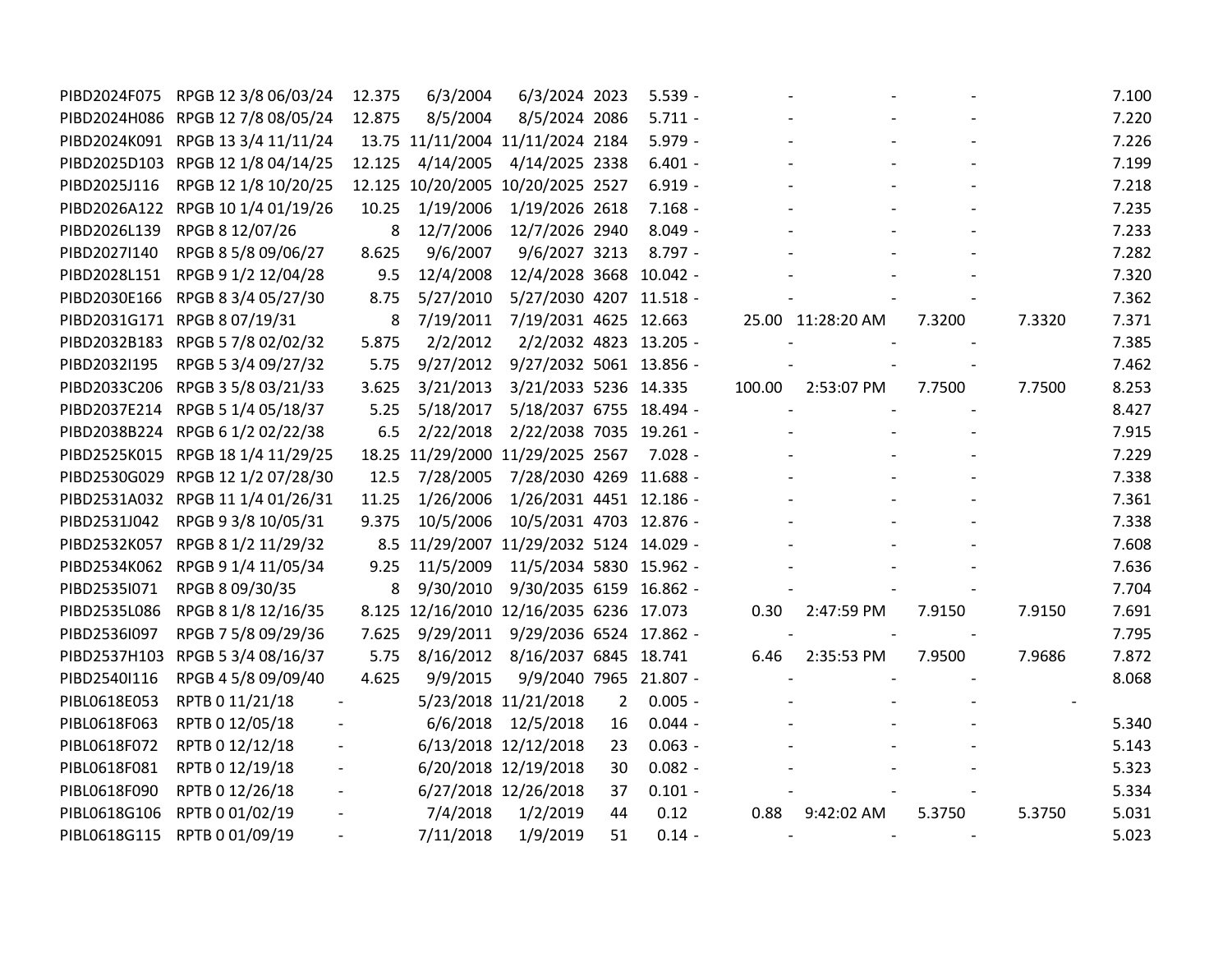| PIBD2024F075 | RPGB 12 3/8 06/03/24              | 12.375         | 6/3/2004                                | 6/3/2024 2023                   |                | $5.539 -$ |        |                   |        |        | 7.100 |
|--------------|-----------------------------------|----------------|-----------------------------------------|---------------------------------|----------------|-----------|--------|-------------------|--------|--------|-------|
|              | PIBD2024H086 RPGB 12 7/8 08/05/24 | 12.875         | 8/5/2004                                | 8/5/2024 2086                   |                | $5.711 -$ |        |                   |        |        | 7.220 |
|              | PIBD2024K091 RPGB 13 3/4 11/11/24 |                | 13.75 11/11/2004 11/11/2024 2184        |                                 |                | $5.979 -$ |        |                   |        |        | 7.226 |
|              | PIBD2025D103 RPGB 12 1/8 04/14/25 | 12.125         | 4/14/2005                               | 4/14/2025 2338                  |                | $6.401 -$ |        |                   |        |        | 7.199 |
| PIBD2025J116 | RPGB 12 1/8 10/20/25              |                | 12.125 10/20/2005 10/20/2025 2527       |                                 |                | $6.919 -$ |        |                   |        |        | 7.218 |
|              | PIBD2026A122 RPGB 10 1/4 01/19/26 | 10.25          | 1/19/2006                               | 1/19/2026 2618                  |                | $7.168 -$ |        |                   |        |        | 7.235 |
| PIBD2026L139 | RPGB 8 12/07/26                   | 8              | 12/7/2006                               | 12/7/2026 2940                  |                | $8.049 -$ |        |                   |        |        | 7.233 |
| PIBD2027I140 | RPGB 8 5/8 09/06/27               | 8.625          | 9/6/2007                                | 9/6/2027 3213                   |                | $8.797 -$ |        |                   |        |        | 7.282 |
| PIBD2028L151 | RPGB 9 1/2 12/04/28               | 9.5            | 12/4/2008                               | 12/4/2028 3668 10.042 -         |                |           |        |                   |        |        | 7.320 |
|              | PIBD2030E166 RPGB 8 3/4 05/27/30  | 8.75           | 5/27/2010                               | 5/27/2030 4207 11.518 -         |                |           |        |                   |        |        | 7.362 |
|              | PIBD2031G171 RPGB 8 07/19/31      | 8              | 7/19/2011                               | 7/19/2031 4625 12.663           |                |           |        | 25.00 11:28:20 AM | 7.3200 | 7.3320 | 7.371 |
|              | PIBD2032B183 RPGB 5 7/8 02/02/32  | 5.875          | 2/2/2012                                | 2/2/2032 4823 13.205 -          |                |           |        |                   |        |        | 7.385 |
| PIBD2032I195 | RPGB 5 3/4 09/27/32               | 5.75           | 9/27/2012                               | 9/27/2032 5061 13.856 -         |                |           |        |                   |        |        | 7.462 |
|              | PIBD2033C206 RPGB 3 5/8 03/21/33  | 3.625          | 3/21/2013                               | 3/21/2033 5236 14.335           |                |           | 100.00 | 2:53:07 PM        | 7.7500 | 7.7500 | 8.253 |
|              | PIBD2037E214 RPGB 5 1/4 05/18/37  | 5.25           | 5/18/2017                               | 5/18/2037 6755 18.494 -         |                |           |        |                   |        |        | 8.427 |
|              | PIBD2038B224 RPGB 6 1/2 02/22/38  | 6.5            | 2/22/2018                               | 2/22/2038 7035 19.261 -         |                |           |        |                   |        |        | 7.915 |
|              | PIBD2525K015 RPGB 18 1/4 11/29/25 |                | 18.25 11/29/2000 11/29/2025 2567        |                                 |                | $7.028 -$ |        |                   |        |        | 7.229 |
|              | PIBD2530G029 RPGB 12 1/2 07/28/30 | 12.5           | 7/28/2005                               | 7/28/2030 4269 11.688 -         |                |           |        |                   |        |        | 7.338 |
|              | PIBD2531A032 RPGB 11 1/4 01/26/31 | 11.25          | 1/26/2006                               | 1/26/2031 4451 12.186 -         |                |           |        |                   |        |        | 7.361 |
|              | PIBD2531J042 RPGB 9 3/8 10/05/31  | 9.375          | 10/5/2006                               | 10/5/2031 4703 12.876 -         |                |           |        |                   |        |        | 7.338 |
|              | PIBD2532K057 RPGB 8 1/2 11/29/32  |                | 8.5 11/29/2007 11/29/2032 5124 14.029 - |                                 |                |           |        |                   |        |        | 7.608 |
|              | PIBD2534K062 RPGB 9 1/4 11/05/34  | 9.25           | 11/5/2009                               | 11/5/2034 5830 15.962 -         |                |           |        |                   |        |        | 7.636 |
| PIBD2535I071 | RPGB 8 09/30/35                   | 8              | 9/30/2010                               | 9/30/2035 6159 16.862 -         |                |           |        |                   |        |        | 7.704 |
| PIBD2535L086 | RPGB 8 1/8 12/16/35               |                | 8.125 12/16/2010 12/16/2035 6236 17.073 |                                 |                |           | 0.30   | 2:47:59 PM        | 7.9150 | 7.9150 | 7.691 |
| PIBD2536I097 | RPGB 7 5/8 09/29/36               | 7.625          | 9/29/2011                               | 9/29/2036 6524 17.862 -         |                |           |        |                   |        |        | 7.795 |
|              | PIBD2537H103 RPGB 5 3/4 08/16/37  | 5.75           |                                         | 8/16/2012 8/16/2037 6845 18.741 |                |           | 6.46   | 2:35:53 PM        | 7.9500 | 7.9686 | 7.872 |
| PIBD2540I116 | RPGB 4 5/8 09/09/40               | 4.625          | 9/9/2015                                | 9/9/2040 7965 21.807 -          |                |           |        |                   |        |        | 8.068 |
| PIBL0618E053 | RPTB 0 11/21/18                   | $\overline{a}$ |                                         | 5/23/2018 11/21/2018            | $\overline{2}$ | $0.005 -$ |        |                   |        |        |       |
| PIBL0618F063 | RPTB 0 12/05/18                   |                | 6/6/2018                                | 12/5/2018                       | 16             | $0.044 -$ |        |                   |        |        | 5.340 |
| PIBL0618F072 | RPTB 0 12/12/18                   |                |                                         | 6/13/2018 12/12/2018            | 23             | $0.063 -$ |        |                   |        |        | 5.143 |
| PIBL0618F081 | RPTB 0 12/19/18                   |                |                                         | 6/20/2018 12/19/2018            | 30             | $0.082 -$ |        |                   |        |        | 5.323 |
| PIBL0618F090 | RPTB 0 12/26/18                   |                |                                         | 6/27/2018 12/26/2018            | 37             | $0.101 -$ |        |                   |        |        | 5.334 |
| PIBL0618G106 | RPTB 0 01/02/19                   |                | 7/4/2018                                | 1/2/2019                        | 44             | 0.12      | 0.88   | 9:42:02 AM        | 5.3750 | 5.3750 | 5.031 |
|              | PIBL0618G115 RPTB 0 01/09/19      |                | 7/11/2018                               | 1/9/2019                        | 51             | $0.14 -$  |        |                   |        |        | 5.023 |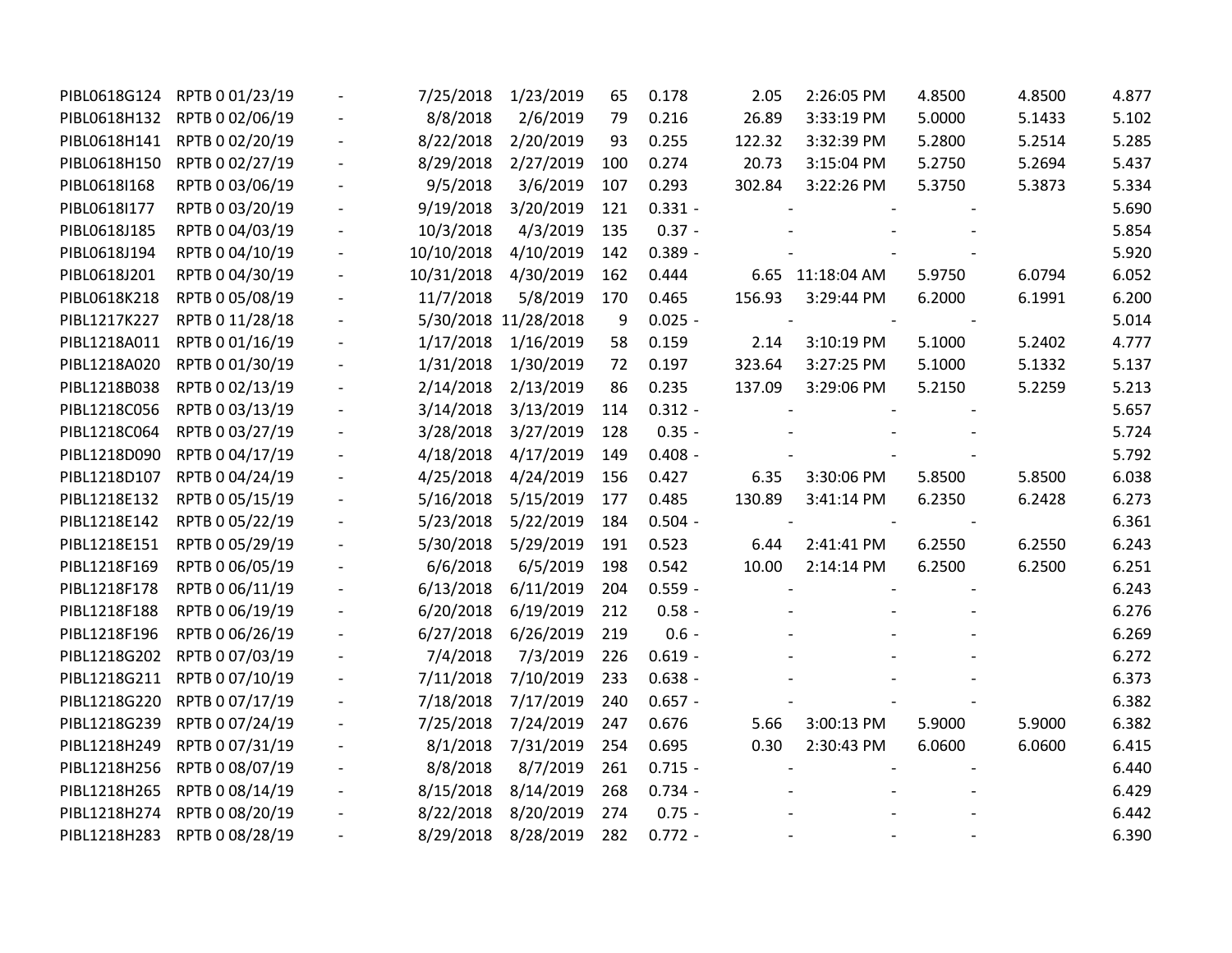| PIBL0618G124 | RPTB 0 01/23/19              |                              | 7/25/2018  | 1/23/2019            | 65  | 0.178     | 2.05   | 2:26:05 PM       | 4.8500 | 4.8500 | 4.877 |
|--------------|------------------------------|------------------------------|------------|----------------------|-----|-----------|--------|------------------|--------|--------|-------|
| PIBL0618H132 | RPTB 0 02/06/19              |                              | 8/8/2018   | 2/6/2019             | 79  | 0.216     | 26.89  | 3:33:19 PM       | 5.0000 | 5.1433 | 5.102 |
| PIBL0618H141 | RPTB 0 02/20/19              |                              | 8/22/2018  | 2/20/2019            | 93  | 0.255     | 122.32 | 3:32:39 PM       | 5.2800 | 5.2514 | 5.285 |
| PIBL0618H150 | RPTB 0 02/27/19              | $\frac{1}{2}$                | 8/29/2018  | 2/27/2019            | 100 | 0.274     | 20.73  | 3:15:04 PM       | 5.2750 | 5.2694 | 5.437 |
| PIBL0618I168 | RPTB 0 03/06/19              |                              | 9/5/2018   | 3/6/2019             | 107 | 0.293     | 302.84 | 3:22:26 PM       | 5.3750 | 5.3873 | 5.334 |
| PIBL0618I177 | RPTB 0 03/20/19              |                              | 9/19/2018  | 3/20/2019            | 121 | $0.331 -$ |        |                  |        |        | 5.690 |
| PIBL0618J185 | RPTB 0 04/03/19              |                              | 10/3/2018  | 4/3/2019             | 135 | $0.37 -$  |        |                  |        |        | 5.854 |
| PIBL0618J194 | RPTB 0 04/10/19              | $\overline{\phantom{a}}$     | 10/10/2018 | 4/10/2019            | 142 | $0.389 -$ |        |                  |        |        | 5.920 |
| PIBL0618J201 | RPTB 0 04/30/19              | $\qquad \qquad -$            | 10/31/2018 | 4/30/2019            | 162 | 0.444     |        | 6.65 11:18:04 AM | 5.9750 | 6.0794 | 6.052 |
| PIBL0618K218 | RPTB 0 05/08/19              | $\overline{\phantom{a}}$     | 11/7/2018  | 5/8/2019             | 170 | 0.465     | 156.93 | 3:29:44 PM       | 6.2000 | 6.1991 | 6.200 |
| PIBL1217K227 | RPTB 0 11/28/18              |                              |            | 5/30/2018 11/28/2018 | 9   | $0.025 -$ |        |                  |        |        | 5.014 |
| PIBL1218A011 | RPTB 0 01/16/19              |                              | 1/17/2018  | 1/16/2019            | 58  | 0.159     | 2.14   | 3:10:19 PM       | 5.1000 | 5.2402 | 4.777 |
| PIBL1218A020 | RPTB 0 01/30/19              |                              | 1/31/2018  | 1/30/2019            | 72  | 0.197     | 323.64 | 3:27:25 PM       | 5.1000 | 5.1332 | 5.137 |
| PIBL1218B038 | RPTB 0 02/13/19              | $\qquad \qquad \blacksquare$ | 2/14/2018  | 2/13/2019            | 86  | 0.235     | 137.09 | 3:29:06 PM       | 5.2150 | 5.2259 | 5.213 |
| PIBL1218C056 | RPTB 0 03/13/19              | $\overline{\phantom{a}}$     | 3/14/2018  | 3/13/2019            | 114 | $0.312 -$ |        |                  |        |        | 5.657 |
| PIBL1218C064 | RPTB 0 03/27/19              |                              | 3/28/2018  | 3/27/2019            | 128 | $0.35 -$  |        |                  |        |        | 5.724 |
| PIBL1218D090 | RPTB 0 04/17/19              |                              | 4/18/2018  | 4/17/2019            | 149 | $0.408 -$ |        |                  |        |        | 5.792 |
| PIBL1218D107 | RPTB 0 04/24/19              | $\qquad \qquad \blacksquare$ | 4/25/2018  | 4/24/2019            | 156 | 0.427     | 6.35   | 3:30:06 PM       | 5.8500 | 5.8500 | 6.038 |
| PIBL1218E132 | RPTB 0 05/15/19              | $\qquad \qquad -$            | 5/16/2018  | 5/15/2019            | 177 | 0.485     | 130.89 | 3:41:14 PM       | 6.2350 | 6.2428 | 6.273 |
| PIBL1218E142 | RPTB 0 05/22/19              | $\overline{\phantom{a}}$     | 5/23/2018  | 5/22/2019            | 184 | $0.504 -$ |        |                  |        |        | 6.361 |
| PIBL1218E151 | RPTB 0 05/29/19              |                              | 5/30/2018  | 5/29/2019            | 191 | 0.523     | 6.44   | 2:41:41 PM       | 6.2550 | 6.2550 | 6.243 |
| PIBL1218F169 | RPTB 0 06/05/19              |                              | 6/6/2018   | 6/5/2019             | 198 | 0.542     | 10.00  | 2:14:14 PM       | 6.2500 | 6.2500 | 6.251 |
| PIBL1218F178 | RPTB 0 06/11/19              | $\qquad \qquad \blacksquare$ | 6/13/2018  | 6/11/2019            | 204 | $0.559 -$ |        |                  |        |        | 6.243 |
| PIBL1218F188 | RPTB 0 06/19/19              | $\qquad \qquad -$            | 6/20/2018  | 6/19/2019            | 212 | $0.58 -$  |        |                  |        |        | 6.276 |
| PIBL1218F196 | RPTB 0 06/26/19              | $\overline{\phantom{m}}$     | 6/27/2018  | 6/26/2019            | 219 | $0.6 -$   |        |                  |        |        | 6.269 |
| PIBL1218G202 | RPTB 0 07/03/19              | $\overline{\phantom{m}}$     | 7/4/2018   | 7/3/2019             | 226 | $0.619 -$ |        |                  |        |        | 6.272 |
| PIBL1218G211 | RPTB 0 07/10/19              |                              | 7/11/2018  | 7/10/2019            | 233 | $0.638 -$ |        |                  |        |        | 6.373 |
| PIBL1218G220 | RPTB 0 07/17/19              |                              | 7/18/2018  | 7/17/2019            | 240 | $0.657 -$ |        |                  |        |        | 6.382 |
| PIBL1218G239 | RPTB 0 07/24/19              |                              | 7/25/2018  | 7/24/2019            | 247 | 0.676     | 5.66   | 3:00:13 PM       | 5.9000 | 5.9000 | 6.382 |
| PIBL1218H249 | RPTB 0 07/31/19              |                              | 8/1/2018   | 7/31/2019            | 254 | 0.695     | 0.30   | 2:30:43 PM       | 6.0600 | 6.0600 | 6.415 |
| PIBL1218H256 | RPTB 0 08/07/19              |                              | 8/8/2018   | 8/7/2019             | 261 | $0.715 -$ |        |                  |        |        | 6.440 |
| PIBL1218H265 | RPTB 0 08/14/19              |                              | 8/15/2018  | 8/14/2019            | 268 | $0.734 -$ |        |                  |        |        | 6.429 |
| PIBL1218H274 | RPTB 0 08/20/19              |                              | 8/22/2018  | 8/20/2019            | 274 | $0.75 -$  |        |                  |        |        | 6.442 |
|              | PIBL1218H283 RPTB 0 08/28/19 |                              | 8/29/2018  | 8/28/2019            | 282 | $0.772 -$ |        |                  |        |        | 6.390 |